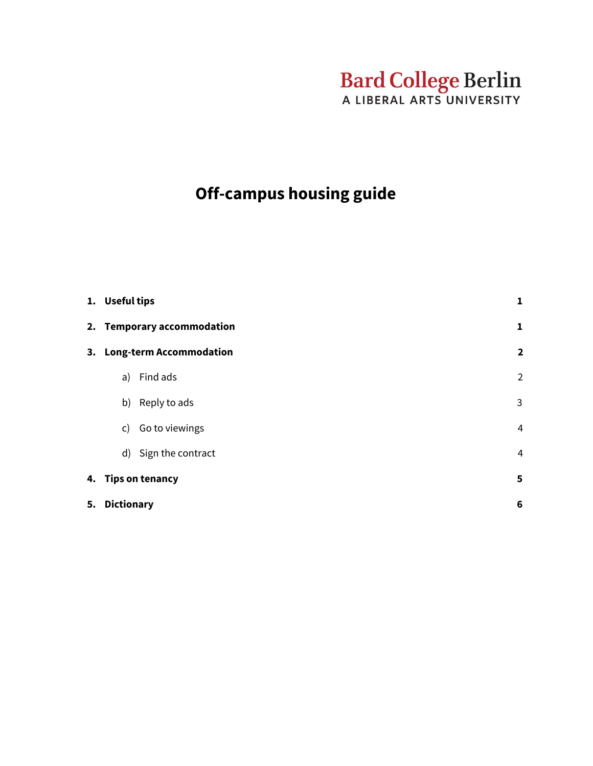# Bard College Berlin

# **Off-campus housing guide**

|  | 1. Useful tips<br>2. Temporary accommodation |                      | $\mathbf{1}$    |
|--|----------------------------------------------|----------------------|-----------------|
|  |                                              |                      | $\mathbf{1}$    |
|  | 3. Long-term Accommodation                   |                      | $\overline{2}$  |
|  | a)                                           | Find ads             | $\overline{2}$  |
|  |                                              | b) Reply to ads      | 3               |
|  |                                              | c) Go to viewings    | $\overline{4}$  |
|  |                                              | d) Sign the contract | 4               |
|  | 4. Tips on tenancy                           |                      | 5               |
|  | 5. Dictionary                                |                      | $6\phantom{1}6$ |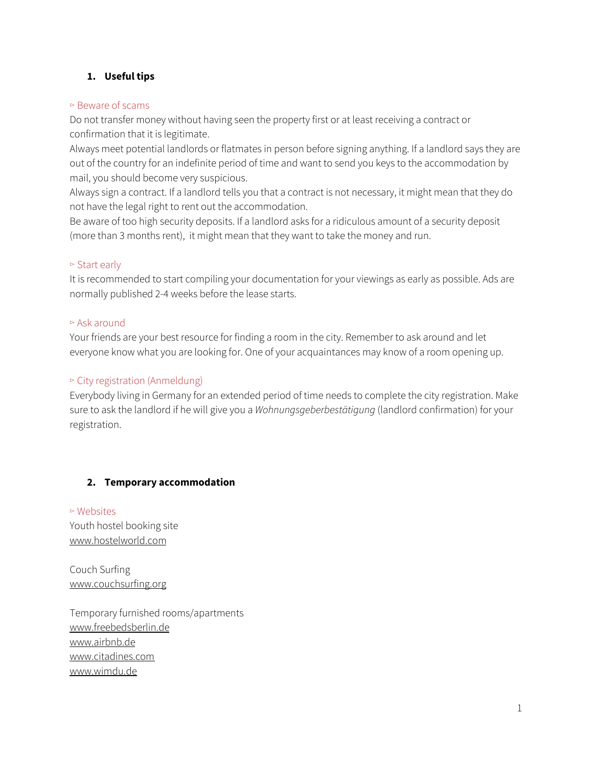# <span id="page-1-0"></span>**1. Useful tips**

#### ▻ Beware of scams

Do not transfer money without having seen the property first or at least receiving a contract or confirmation that it is legitimate.

Always meet potential landlords or flatmates in person before signing anything. If a landlord says they are out of the country for an indefinite period of time and want to send you keys to the accommodation by mail, you should become very suspicious.

Always sign a contract. If a landlord tells you that a contract is not necessary, it might mean that they do not have the legal right to rent out the accommodation.

Be aware of too high security deposits. If a landlord asks for a ridiculous amount of a security deposit (more than 3 months rent), it might mean that they want to take the money and run.

# $\triangleright$  Start early

It is recommended to start compiling your documentation for your viewings as early as possible. Ads are normally published 2-4 weeks before the lease starts.

#### ▻ Ask around

Your friends are your best resource for finding a room in the city. Remember to ask around and let everyone know what you are looking for. One of your acquaintances may know of a room opening up.

# ▻ City registration (Anmeldung)

Everybody living in Germany for an extended period of time needs to complete the city registration. Make sure to ask the landlord if he will give you a *Wohnungsgeberbestätigung* (landlord confirmation) for your registration.

# <span id="page-1-1"></span>**2. Temporary accommodation**

▻ Websites Youth hostel booking site [www.hostelworld.com](http://www.hostelworld.com/)

Couch Surfing [www.couchsurfing.org](http://www.couchsurfing.org/)

Temporary furnished rooms/apartments [www.freebedsberlin.de](http://www.freebedsberlin.de/) [www.airbnb.de](http://www.airbnb.de/) [www.citadines.com](http://www.citadines.com/) [www.wimdu.de](http://www.wimdu.de/)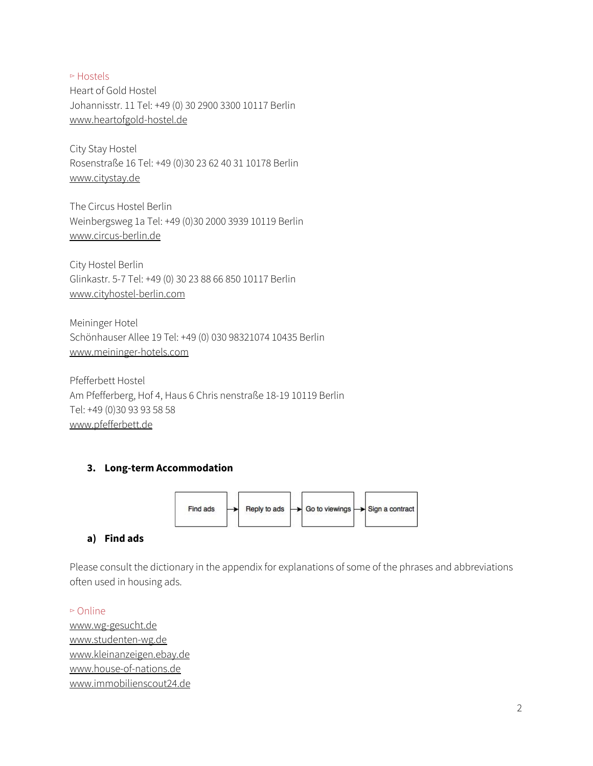▻ Hostels Heart of Gold Hostel Johannisstr. 11 Tel: +49 (0) 30 2900 3300 10117 Berlin [www.heartofgold-hostel.de](http://www.heartofgold-hostel.de/)

City Stay Hostel Rosenstraße 16 Tel: +49 (0)30 23 62 40 31 10178 Berlin [www.citystay.de](http://www.citystay.de/)

The Circus Hostel Berlin Weinbergsweg 1a Tel: +49 (0)30 2000 3939 10119 Berlin [www.circus-berlin.de](http://www.circus-berlin.de/)

City Hostel Berlin Glinkastr. 5-7 Tel: +49 (0) 30 23 88 66 850 10117 Berlin [www.cityhostel-berlin.com](http://www.cityhostel-berlin.com/)

Meininger Hotel Schönhauser Allee 19 Tel: +49 (0) 030 98321074 10435 Berlin [www.meininger-hotels.com](http://www.meininger-hotels.com/)

Pfefferbett Hostel Am Pfefferberg, Hof 4, Haus 6 Chris nenstraße 18-19 10119 Berlin Tel: +49 (0)30 93 93 58 58 [www.pfefferbett.de](https://www.pfefferbett.de/home.html)

# <span id="page-2-0"></span>**3. Long-term Accommodation**



# <span id="page-2-1"></span>**a) Find ads**

Please consult the dictionary in the appendix for explanations of some of the phrases and abbreviations often used in housing ads.

▻ Online

[www.wg-gesucht.de](http://www.wg-gesucht.de/) [www.studenten-wg.de](http://www.studenten-wg.de/) [www.kleinanzeigen.ebay.de](https://www.ebay-kleinanzeigen.de/) [www.house-of-nations.de](https://www.house-of-nations.de/) [www.immobilienscout24.de](http://www.immobilienscout24.de/)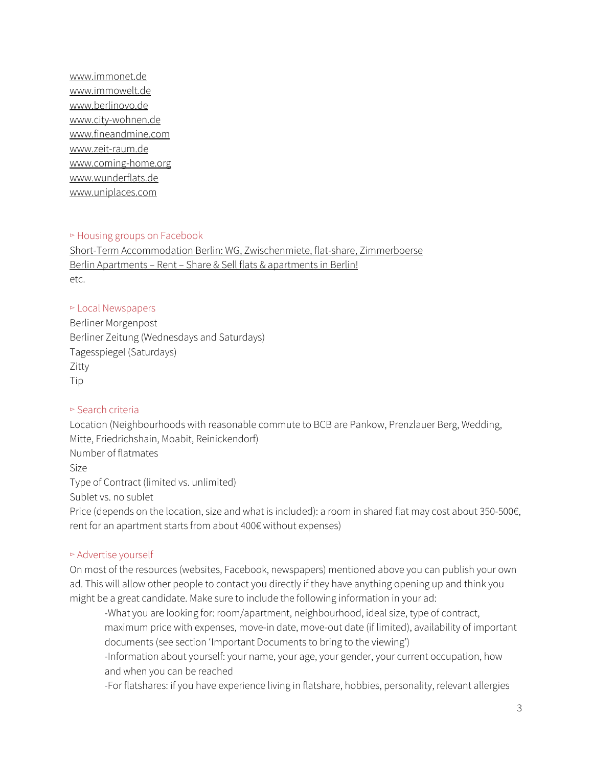[www.immonet.de](http://www.immonet.de/) [www.immowelt.de](http://www.immowelt.de/) [www.berlinovo.de](http://www.berlinovo.de/en) [www.city-wohnen.de](http://www.city-wohnen.de/) [www.fineandmine.com](http://www.fineandmine.com/) [www.zeit-raum.de](http://www.zeit-raum.de/) [www.coming-home.org](http://www.coming-home.org/) [www.wunderflats.de](http://www.wunderflats.de/) [www.uniplaces.com](http://www.uniplaces.com/)

#### ▻ Housing groups on Facebook

Short-Term [Accommodation](https://www.facebook.com/groups/roomsurfer/) Berlin: WG, Zwischenmiete, flat-share, Zimmerboerse Berlin [Apartments](https://www.facebook.com/groups/183048595060764/) – Rent – Share & Sell flats & apartments in Berlin! etc.

#### ▻ Local Newspapers

Berliner Morgenpost Berliner Zeitung (Wednesdays and Saturdays) Tagesspiegel (Saturdays) Zitty Tip

# ▻ Search criteria

Location (Neighbourhoods with reasonable commute to BCB are Pankow, Prenzlauer Berg, Wedding, Mitte, Friedrichshain, Moabit, Reinickendorf) Number of flatmates Size Type of Contract (limited vs. unlimited) Sublet vs. no sublet Price (depends on the location, size and what is included): a room in shared flat may cost about 350-500€, rent for an apartment starts from about 400€ without expenses)

# ▻ Advertise yourself

On most of the resources (websites, Facebook, newspapers) mentioned above you can publish your own ad. This will allow other people to contact you directly if they have anything opening up and think you might be a great candidate. Make sure to include the following information in your ad:

-What you are looking for: room/apartment, neighbourhood, ideal size, type of contract, maximum price with expenses, move-in date, move-out date (if limited), availability of important documents (see section 'Important Documents to bring to the viewing')

-Information about yourself: your name, your age, your gender, your current occupation, how and when you can be reached

-For flatshares: if you have experience living in flatshare, hobbies, personality, relevant allergies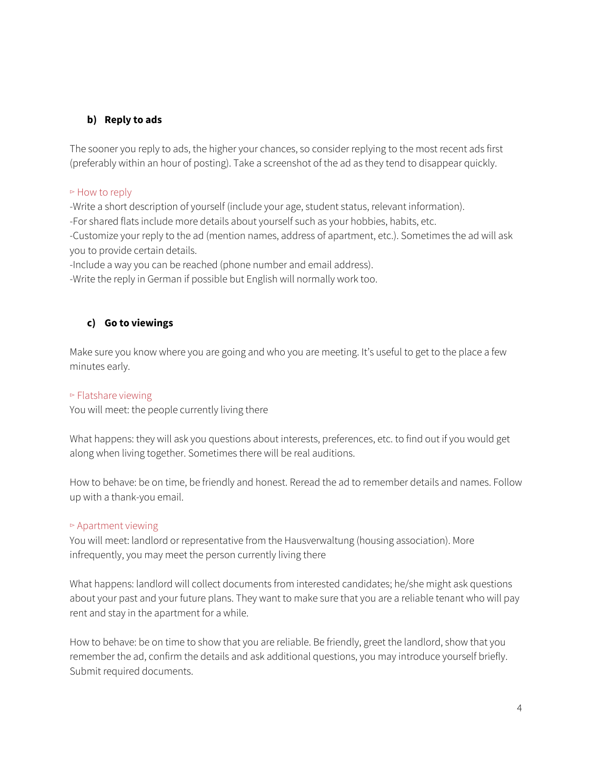# <span id="page-4-0"></span>**b) Reply to ads**

The sooner you reply to ads, the higher your chances, so consider replying to the most recent ads first (preferably within an hour of posting). Take a screenshot of the ad as they tend to disappear quickly.

#### ▻ How to reply

-Write a short description of yourself (include your age, student status, relevant information).

-For shared flats include more details about yourself such as your hobbies, habits, etc.

-Customize your reply to the ad (mention names, address of apartment, etc.). Sometimes the ad will ask you to provide certain details.

-Include a way you can be reached (phone number and email address).

-Write the reply in German if possible but English will normally work too.

# <span id="page-4-1"></span>**c) Go to viewings**

Make sure you know where you are going and who you are meeting. It's useful to get to the place a few minutes early.

# ▻ Flatshare viewing

You will meet: the people currently living there

What happens: they will ask you questions about interests, preferences, etc. to find out if you would get along when living together. Sometimes there will be real auditions.

How to behave: be on time, be friendly and honest. Reread the ad to remember details and names. Follow up with a thank-you email.

# ▻ Apartment viewing

You will meet: landlord or representative from the Hausverwaltung (housing association). More infrequently, you may meet the person currently living there

What happens: landlord will collect documents from interested candidates; he/she might ask questions about your past and your future plans. They want to make sure that you are a reliable tenant who will pay rent and stay in the apartment for a while.

How to behave: be on time to show that you are reliable. Be friendly, greet the landlord, show that you remember the ad, confirm the details and ask additional questions, you may introduce yourself briefly. Submit required documents.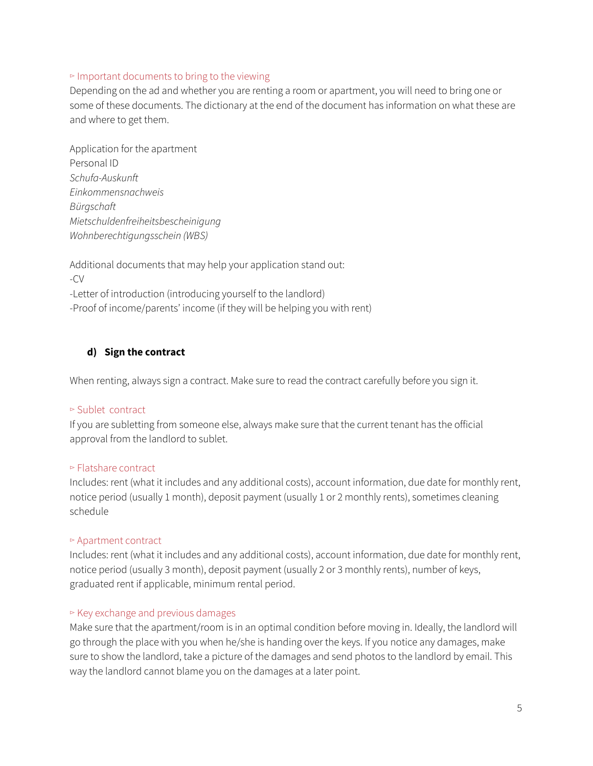#### ▻ Important documents to bring to the viewing

Depending on the ad and whether you are renting a room or apartment, you will need to bring one or some of these documents. The dictionary at the end of the document has information on what these are and where to get them.

Application for the apartment Personal ID *Schufa-Auskunft Einkommensnachweis Bürgschaft Mietschuldenfreiheitsbescheinigung Wohnberechtigungsschein (WBS)*

Additional documents that may help your application stand out: -CV -Letter of introduction (introducing yourself to the landlord) -Proof of income/parents' income (if they will be helping you with rent)

# <span id="page-5-0"></span>**d) Sign the contract**

When renting, always sign a contract. Make sure to read the contract carefully before you sign it.

# ▻ Sublet contract

If you are subletting from someone else, always make sure that the current tenant has the official approval from the landlord to sublet.

#### ▻ Flatshare contract

Includes: rent (what it includes and any additional costs), account information, due date for monthly rent, notice period (usually 1 month), deposit payment (usually 1 or 2 monthly rents), sometimes cleaning schedule

#### ▻ Apartment contract

Includes: rent (what it includes and any additional costs), account information, due date for monthly rent, notice period (usually 3 month), deposit payment (usually 2 or 3 monthly rents), number of keys, graduated rent if applicable, minimum rental period.

#### ▻ Key exchange and previous damages

Make sure that the apartment/room is in an optimal condition before moving in. Ideally, the landlord will go through the place with you when he/she is handing over the keys. If you notice any damages, make sure to show the landlord, take a picture of the damages and send photos to the landlord by email. This way the landlord cannot blame you on the damages at a later point.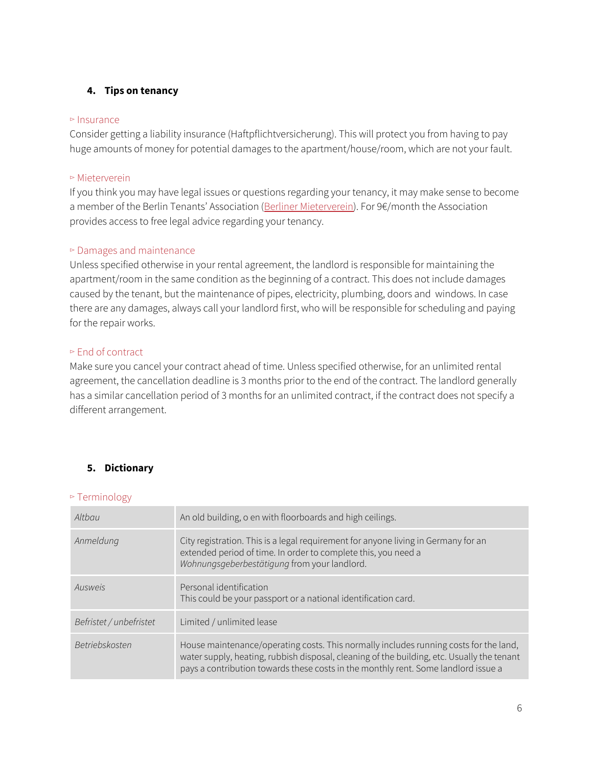# <span id="page-6-0"></span>**4. Tips on tenancy**

#### ▻ Insurance

Consider getting a liability insurance (Haftpflichtversicherung). This will protect you from having to pay huge amounts of money for potential damages to the apartment/house/room, which are not your fault.

#### ▻ Mieterverein

If you think you may have legal issues or questions regarding your tenancy, it may make sense to become a member of the Berlin Tenants' Association (Berliner [Mieterverein\)](https://www.berliner-mieterverein.de/). For 9€/month the Association provides access to free legal advice regarding your tenancy.

#### ▻ Damages and maintenance

Unless specified otherwise in your rental agreement, the landlord is responsible for maintaining the apartment/room in the same condition as the beginning of a contract. This does not include damages caused by the tenant, but the maintenance of pipes, electricity, plumbing, doors and windows. In case there are any damages, always call your landlord first, who will be responsible for scheduling and paying for the repair works.

#### ▻ End of contract

Make sure you cancel your contract ahead of time. Unless specified otherwise, for an unlimited rental agreement, the cancellation deadline is 3 months prior to the end of the contract. The landlord generally has a similar cancellation period of 3 months for an unlimited contract, if the contract does not specify a different arrangement.

# <span id="page-6-1"></span>**5. Dictionary**

#### ▻ Terminology

| Altbau                  | An old building, o en with floorboards and high ceilings.                                                                                                                                                                                                                 |
|-------------------------|---------------------------------------------------------------------------------------------------------------------------------------------------------------------------------------------------------------------------------------------------------------------------|
| Anmeldung               | City registration. This is a legal requirement for anyone living in Germany for an<br>extended period of time. In order to complete this, you need a<br>Wohnungsgeberbestätigung from your landlord.                                                                      |
| Ausweis                 | Personal identification<br>This could be your passport or a national identification card.                                                                                                                                                                                 |
| Befristet / unbefristet | Limited / unlimited lease                                                                                                                                                                                                                                                 |
| Betriebskosten          | House maintenance/operating costs. This normally includes running costs for the land,<br>water supply, heating, rubbish disposal, cleaning of the building, etc. Usually the tenant<br>pays a contribution towards these costs in the monthly rent. Some landlord issue a |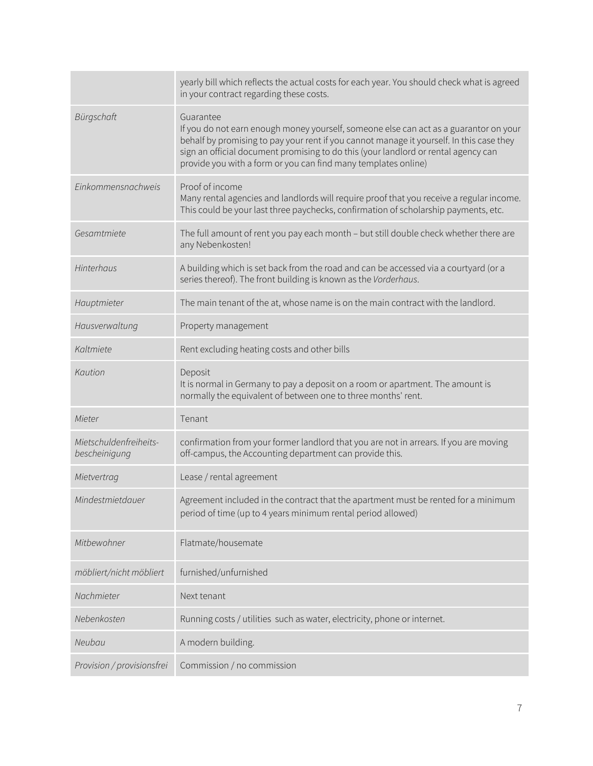|                                         | yearly bill which reflects the actual costs for each year. You should check what is agreed<br>in your contract regarding these costs.                                                                                                                                                                                                                  |  |  |
|-----------------------------------------|--------------------------------------------------------------------------------------------------------------------------------------------------------------------------------------------------------------------------------------------------------------------------------------------------------------------------------------------------------|--|--|
| Bürgschaft                              | Guarantee<br>If you do not earn enough money yourself, someone else can act as a guarantor on your<br>behalf by promising to pay your rent if you cannot manage it yourself. In this case they<br>sign an official document promising to do this (your landlord or rental agency can<br>provide you with a form or you can find many templates online) |  |  |
| Einkommensnachweis                      | Proof of income<br>Many rental agencies and landlords will require proof that you receive a regular income.<br>This could be your last three paychecks, confirmation of scholarship payments, etc.                                                                                                                                                     |  |  |
| Gesamtmiete                             | The full amount of rent you pay each month - but still double check whether there are<br>any Nebenkosten!                                                                                                                                                                                                                                              |  |  |
| Hinterhaus                              | A building which is set back from the road and can be accessed via a courtyard (or a<br>series thereof). The front building is known as the Vorderhaus.                                                                                                                                                                                                |  |  |
| Hauptmieter                             | The main tenant of the at, whose name is on the main contract with the landlord.                                                                                                                                                                                                                                                                       |  |  |
| Hausverwaltung                          | Property management                                                                                                                                                                                                                                                                                                                                    |  |  |
| Kaltmiete                               | Rent excluding heating costs and other bills                                                                                                                                                                                                                                                                                                           |  |  |
| Kaution                                 | Deposit<br>It is normal in Germany to pay a deposit on a room or apartment. The amount is<br>normally the equivalent of between one to three months' rent.                                                                                                                                                                                             |  |  |
| Mieter                                  | Tenant                                                                                                                                                                                                                                                                                                                                                 |  |  |
| Mietschuldenfreiheits-<br>bescheinigung | confirmation from your former landlord that you are not in arrears. If you are moving<br>off-campus, the Accounting department can provide this.                                                                                                                                                                                                       |  |  |
| Mietvertrag                             | Lease / rental agreement                                                                                                                                                                                                                                                                                                                               |  |  |
| Mindestmietdauer                        | Agreement included in the contract that the apartment must be rented for a minimum<br>period of time (up to 4 years minimum rental period allowed)                                                                                                                                                                                                     |  |  |
| Mitbewohner                             | Flatmate/housemate                                                                                                                                                                                                                                                                                                                                     |  |  |
| möbliert/nicht möbliert                 | furnished/unfurnished                                                                                                                                                                                                                                                                                                                                  |  |  |
| Nachmieter                              | Next tenant                                                                                                                                                                                                                                                                                                                                            |  |  |
| Nebenkosten                             | Running costs / utilities such as water, electricity, phone or internet.                                                                                                                                                                                                                                                                               |  |  |
| Neubau                                  | A modern building.                                                                                                                                                                                                                                                                                                                                     |  |  |
| Provision / provisionsfrei              | Commission / no commission                                                                                                                                                                                                                                                                                                                             |  |  |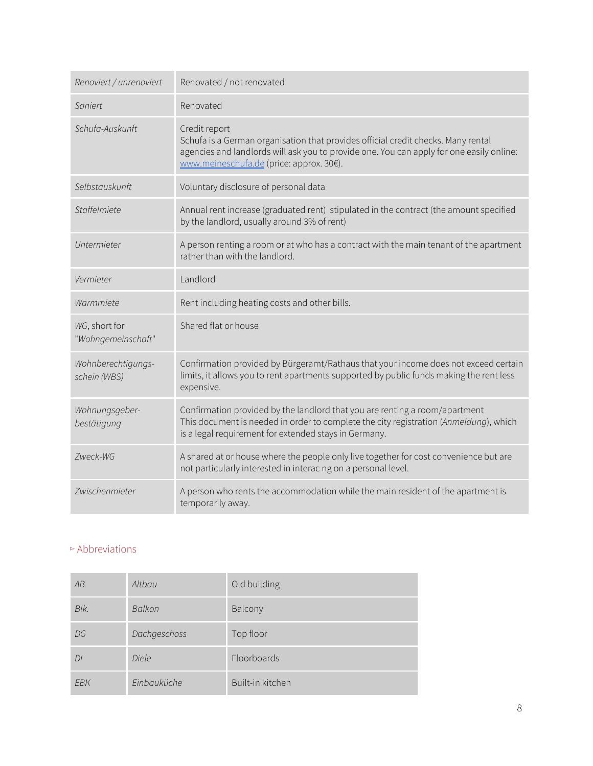| Renoviert / unrenoviert             | Renovated / not renovated                                                                                                                                                                                                                  |  |  |
|-------------------------------------|--------------------------------------------------------------------------------------------------------------------------------------------------------------------------------------------------------------------------------------------|--|--|
| Saniert                             | Renovated                                                                                                                                                                                                                                  |  |  |
| Schufa-Auskunft                     | Credit report<br>Schufa is a German organisation that provides official credit checks. Many rental<br>agencies and landlords will ask you to provide one. You can apply for one easily online:<br>www.meineschufa.de (price: approx. 30€). |  |  |
| Selbstauskunft                      | Voluntary disclosure of personal data                                                                                                                                                                                                      |  |  |
| Staffelmiete                        | Annual rent increase (graduated rent) stipulated in the contract (the amount specified<br>by the landlord, usually around 3% of rent)                                                                                                      |  |  |
| Untermieter                         | A person renting a room or at who has a contract with the main tenant of the apartment<br>rather than with the landlord.                                                                                                                   |  |  |
| Vermieter                           | Landlord                                                                                                                                                                                                                                   |  |  |
|                                     |                                                                                                                                                                                                                                            |  |  |
| Warmmiete                           | Rent including heating costs and other bills.                                                                                                                                                                                              |  |  |
| WG, short for<br>"Wohngemeinschaft" | Shared flat or house                                                                                                                                                                                                                       |  |  |
| Wohnberechtigungs-<br>schein (WBS)  | Confirmation provided by Bürgeramt/Rathaus that your income does not exceed certain<br>limits, it allows you to rent apartments supported by public funds making the rent less<br>expensive.                                               |  |  |
| Wohnungsgeber-<br>bestätigung       | Confirmation provided by the landlord that you are renting a room/apartment<br>This document is needed in order to complete the city registration (Anmeldung), which<br>is a legal requirement for extended stays in Germany.              |  |  |
| Zweck-WG                            | A shared at or house where the people only live together for cost convenience but are<br>not particularly interested in interac ng on a personal level.                                                                                    |  |  |

# ▻ Abbreviations

| AB   | Altbau       | Old building     |
|------|--------------|------------------|
| Blk. | Balkon       | Balcony          |
| DG   | Dachgeschoss | Top floor        |
| DI   | Diele        | Floorboards      |
| EBK  | Einbauküche  | Built-in kitchen |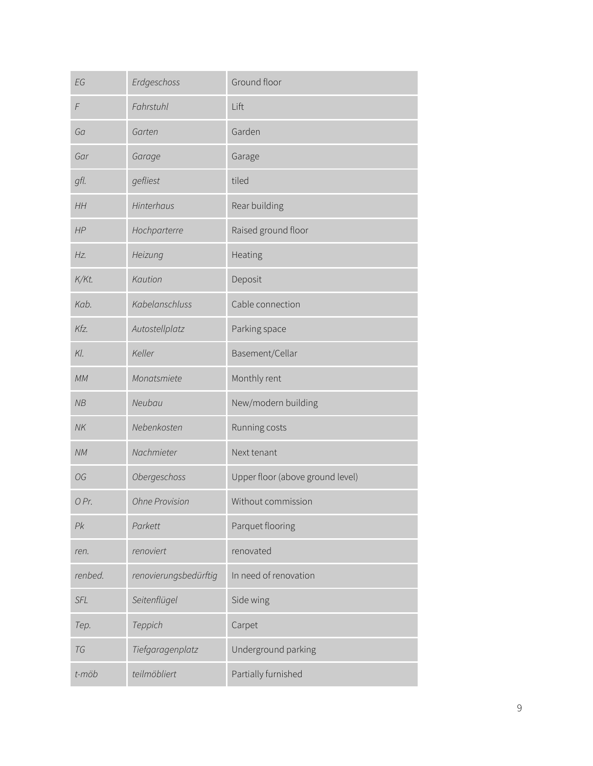| EG         | Erdgeschoss           | Ground floor                     |
|------------|-----------------------|----------------------------------|
| $\digamma$ | Fahrstuhl             | Lift                             |
| Ga         | Garten                | Garden                           |
| Gar        | Garage                | Garage                           |
| gfl.       | gefliest              | tiled                            |
| HH         | Hinterhaus            | Rear building                    |
| HP         | Hochparterre          | Raised ground floor              |
| Hz.        | Heizung               | Heating                          |
| K/Kt.      | Kaution               | Deposit                          |
| Kab.       | Kabelanschluss        | Cable connection                 |
| Kfz.       | Autostellplatz        | Parking space                    |
| Kl.        | Keller                | Basement/Cellar                  |
| MM         | Monatsmiete           | Monthly rent                     |
| NB         | Neubau                | New/modern building              |
| NK         | Nebenkosten           | Running costs                    |
| NM         | Nachmieter            | Next tenant                      |
| OG         | Obergeschoss          | Upper floor (above ground level) |
| 0 Pr.      | <b>Ohne Provision</b> | Without commission               |
| Pk         | Parkett               | Parquet flooring                 |
| ren.       | renoviert             | renovated                        |
| renbed.    | renovierungsbedürftig | In need of renovation            |
| SFL        | Seitenflügel          | Side wing                        |
| Tep.       | Teppich               | Carpet                           |
| TG         | Tiefgaragenplatz      | Underground parking              |
| t-möb      | teilmöbliert          | Partially furnished              |